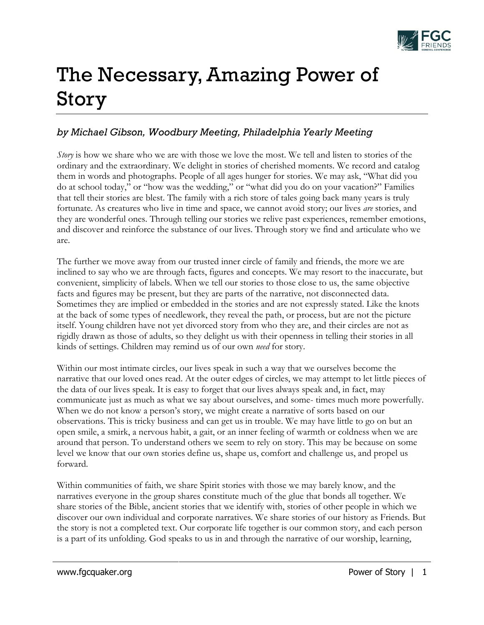

## The Necessary, Amazing Power of Story

## *by Michael Gibson, Woodbury Meeting, Philadelphia Yearly Meeting*

*Story* is how we share who we are with those we love the most. We tell and listen to stories of the ordinary and the extraordinary. We delight in stories of cherished moments. We record and catalog them in words and photographs. People of all ages hunger for stories. We may ask, "What did you do at school today," or "how was the wedding," or "what did you do on your vacation?" Families that tell their stories are blest. The family with a rich store of tales going back many years is truly fortunate. As creatures who live in time and space, we cannot avoid story; our lives *are* stories, and they are wonderful ones. Through telling our stories we relive past experiences, remember emotions, and discover and reinforce the substance of our lives. Through story we find and articulate who we are.

The further we move away from our trusted inner circle of family and friends, the more we are inclined to say who we are through facts, figures and concepts. We may resort to the inaccurate, but convenient, simplicity of labels. When we tell our stories to those close to us, the same objective facts and figures may be present, but they are parts of the narrative, not disconnected data. Sometimes they are implied or embedded in the stories and are not expressly stated. Like the knots at the back of some types of needlework, they reveal the path, or process, but are not the picture itself. Young children have not yet divorced story from who they are, and their circles are not as rigidly drawn as those of adults, so they delight us with their openness in telling their stories in all kinds of settings. Children may remind us of our own *need* for story.

Within our most intimate circles, our lives speak in such a way that we ourselves become the narrative that our loved ones read. At the outer edges of circles, we may attempt to let little pieces of the data of our lives speak. It is easy to forget that our lives always speak and, in fact, may communicate just as much as what we say about ourselves, and some- times much more powerfully. When we do not know a person's story, we might create a narrative of sorts based on our observations. This is tricky business and can get us in trouble. We may have little to go on but an open smile, a smirk, a nervous habit, a gait, or an inner feeling of warmth or coldness when we are around that person. To understand others we seem to rely on story. This may be because on some level we know that our own stories define us, shape us, comfort and challenge us, and propel us forward.

Within communities of faith, we share Spirit stories with those we may barely know, and the narratives everyone in the group shares constitute much of the glue that bonds all together. We share stories of the Bible, ancient stories that we identify with, stories of other people in which we discover our own individual and corporate narratives. We share stories of our history as Friends. But the story is not a completed text. Our corporate life together is our common story, and each person is a part of its unfolding. God speaks to us in and through the narrative of our worship, learning,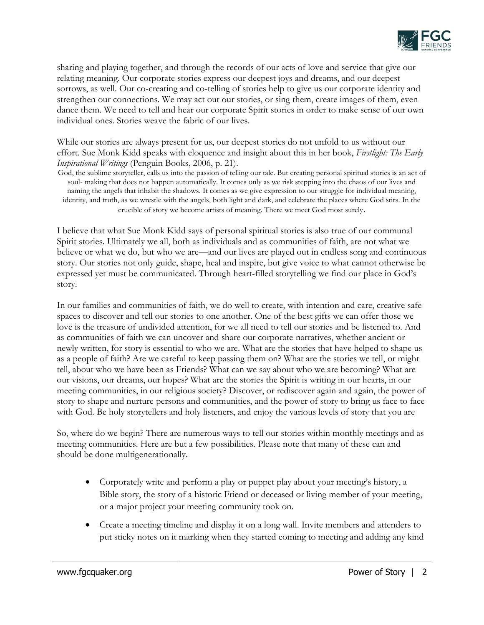

sharing and playing together, and through the records of our acts of love and service that give our relating meaning. Our corporate stories express our deepest joys and dreams, and our deepest sorrows, as well. Our co-creating and co-telling of stories help to give us our corporate identity and strengthen our connections. We may act out our stories, or sing them, create images of them, even dance them. We need to tell and hear our corporate Spirit stories in order to make sense of our own individual ones. Stories weave the fabric of our lives.

While our stories are always present for us, our deepest stories do not unfold to us without our effort. Sue Monk Kidd speaks with eloquence and insight about this in her book, *Firstlight: The Early Inspirational Writings* (Penguin Books, 2006, p. 21).

God, the sublime storyteller, calls us into the passion of telling our tale. But creating personal spiritual stories is an act of soul- making that does not happen automatically. It comes only as we risk stepping into the chaos of our lives and naming the angels that inhabit the shadows. It comes as we give expression to our struggle for individual meaning, identity, and truth, as we wrestle with the angels, both light and dark, and celebrate the places where God stirs. In the crucible of story we become artists of meaning. There we meet God most surely.

I believe that what Sue Monk Kidd says of personal spiritual stories is also true of our communal Spirit stories. Ultimately we all, both as individuals and as communities of faith, are not what we believe or what we do, but who we are—and our lives are played out in endless song and continuous story. Our stories not only guide, shape, heal and inspire, but give voice to what cannot otherwise be expressed yet must be communicated. Through heart-filled storytelling we find our place in God's story.

In our families and communities of faith, we do well to create, with intention and care, creative safe spaces to discover and tell our stories to one another. One of the best gifts we can offer those we love is the treasure of undivided attention, for we all need to tell our stories and be listened to. And as communities of faith we can uncover and share our corporate narratives, whether ancient or newly written, for story is essential to who we are. What are the stories that have helped to shape us as a people of faith? Are we careful to keep passing them on? What are the stories we tell, or might tell, about who we have been as Friends? What can we say about who we are becoming? What are our visions, our dreams, our hopes? What are the stories the Spirit is writing in our hearts, in our meeting communities, in our religious society? Discover, or rediscover again and again, the power of story to shape and nurture persons and communities, and the power of story to bring us face to face with God. Be holy storytellers and holy listeners, and enjoy the various levels of story that you are

So, where do we begin? There are numerous ways to tell our stories within monthly meetings and as meeting communities. Here are but a few possibilities. Please note that many of these can and should be done multigenerationally.

- Corporately write and perform a play or puppet play about your meeting's history, a Bible story, the story of a historic Friend or deceased or living member of your meeting, or a major project your meeting community took on.
- Create a meeting timeline and display it on a long wall. Invite members and attenders to put sticky notes on it marking when they started coming to meeting and adding any kind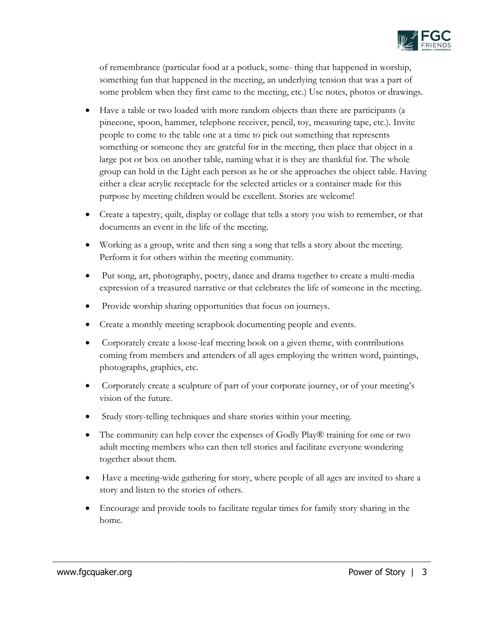

of remembrance (particular food at a potluck, some- thing that happened in worship, something fun that happened in the meeting, an underlying tension that was a part of some problem when they first came to the meeting, etc.) Use notes, photos or drawings.

- Have a table or two loaded with more random objects than there are participants (a pinecone, spoon, hammer, telephone receiver, pencil, toy, measuring tape, etc.). Invite people to come to the table one at a time to pick out something that represents something or someone they are grateful for in the meeting, then place that object in a large pot or box on another table, naming what it is they are thankful for. The whole group can hold in the Light each person as he or she approaches the object table. Having either a clear acrylic receptacle for the selected articles or a container made for this purpose by meeting children would be excellent. Stories are welcome!
- Create a tapestry, quilt, display or collage that tells a story you wish to remember, or that documents an event in the life of the meeting.
- Working as a group, write and then sing a song that tells a story about the meeting. Perform it for others within the meeting community.
- Put song, art, photography, poetry, dance and drama together to create a multi-media expression of a treasured narrative or that celebrates the life of someone in the meeting.
- Provide worship sharing opportunities that focus on journeys.
- Create a monthly meeting scrapbook documenting people and events.
- Corporately create a loose-leaf meeting book on a given theme, with contributions coming from members and attenders of all ages employing the written word, paintings, photographs, graphics, etc.
- Corporately create a sculpture of part of your corporate journey, or of your meeting's vision of the future.
- Study story-telling techniques and share stories within your meeting.
- The community can help cover the expenses of Godly Play® training for one or two adult meeting members who can then tell stories and facilitate everyone wondering together about them.
- Have a meeting-wide gathering for story, where people of all ages are invited to share a story and listen to the stories of others.
- Encourage and provide tools to facilitate regular times for family story sharing in the home.